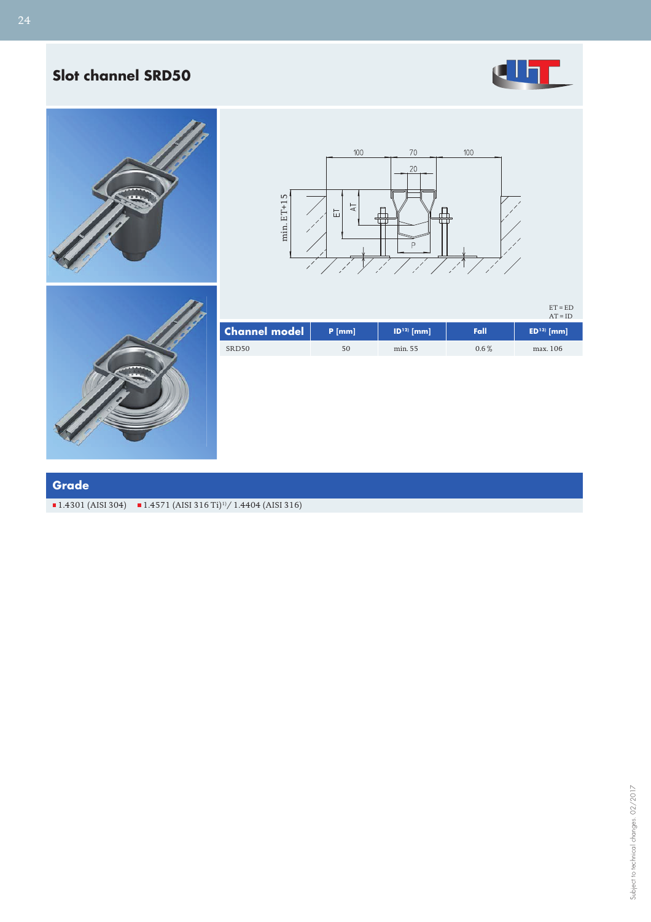## **Slot channel SRD50**







 $ET = ED$ 



|                      |          |                       |         | $AT = ID$   |
|----------------------|----------|-----------------------|---------|-------------|
| <b>Channel model</b> | $P$ [mm] | $ D^{12}\rangle$ [mm] | Fall    | $ED13$ [mm] |
| SRD <sub>50</sub>    | 50       | min. 55               | $0.6\%$ | max. 106    |

### **Grade**

 $1.4301$  (AISI 304)  $1.4571$  (AISI 316 Ti)<sup>1</sup>/ 1.4404 (AISI 316)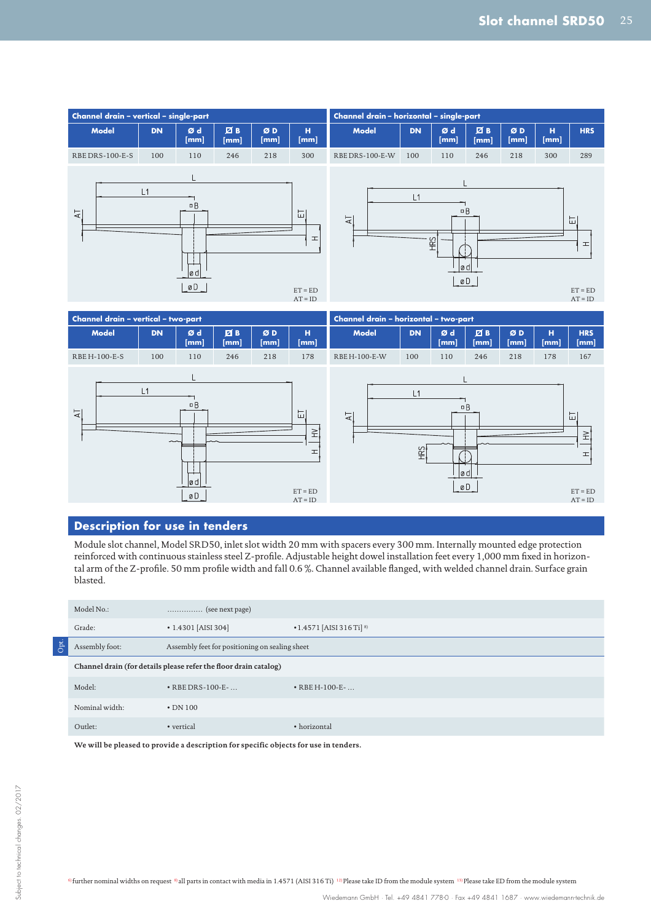



### **Description for use in tenders**

Module slot channel, Model SRD50, inlet slot width 20 mm with spacers every 300 mm. Internally mounted edge protection reinforced with continuous stainless steel Z-profile. Adjustable height dowel installation feet every 1,000 mm fixed in horizontal arm of the Z-profile. 50 mm profile width and fall 0.6 %. Channel available flanged, with welded channel drain. Surface grain blasted.

|     | Model No.:                                                       | $\ldots$ (see next page)                       |                                            |  |  |  |
|-----|------------------------------------------------------------------|------------------------------------------------|--------------------------------------------|--|--|--|
|     | Grade:                                                           | $\cdot$ 1.4301 [AISI 304]                      | $\cdot$ 1.4571 [AISI 316 Ti] <sup>8)</sup> |  |  |  |
| pt. | Assembly foot:                                                   | Assembly feet for positioning on sealing sheet |                                            |  |  |  |
|     | Channel drain (for details please refer the floor drain catalog) |                                                |                                            |  |  |  |
|     | Model:                                                           | $\cdot$ RBE DRS-100-E- $\ldots$                | $\bullet$ RBE H-100-E- $\dots$             |  |  |  |
|     | Nominal width:                                                   | $\cdot$ DN 100                                 |                                            |  |  |  |
|     | Outlet:                                                          | • vertical                                     | • horizontal                               |  |  |  |

**We will be pleased to provide a description for specific objects for use in tenders.**

<sup>6)</sup> further nominal widths on request <sup>8)</sup> all parts in contact with media in 1.4571 (AISI 316 Ti)<sup>12)</sup> Please take ID from the module system <sup>13)</sup> Please take ED from the module system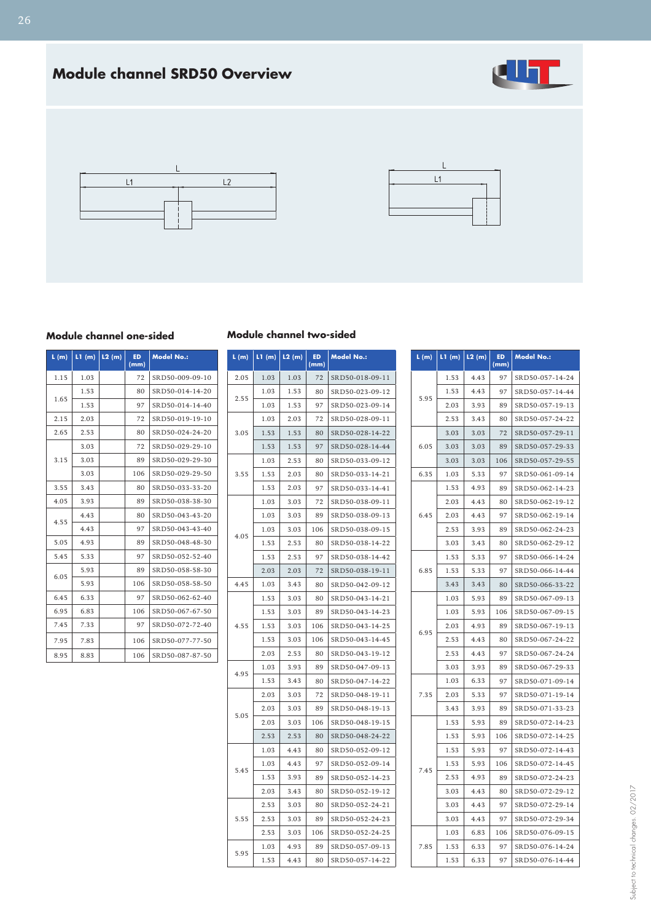# **Module channel SRD50 Overview**







#### **Module channel one-sided**

| L(m) | LI(m) | L2(m) | <b>ED</b><br>(mm) | <b>Model No.:</b> |
|------|-------|-------|-------------------|-------------------|
| 1.15 | 1.03  |       | 72                | SRD50-009-09-10   |
|      | 1.53  |       | 80                | SRD50-014-14-20   |
| 1.65 | 1.53  |       | 97                | SRD50-014-14-40   |
| 2.15 | 2.03  |       | 72                | SRD50-019-19-10   |
| 2.65 | 2.53  |       | 80                | SRD50-024-24-20   |
|      | 3.03  |       | 72                | SRD50-029-29-10   |
| 3.15 | 3.03  |       | 89                | SRD50-029-29-30   |
|      | 3.03  |       | 106               | SRD50-029-29-50   |
| 3.55 | 3.43  |       | 80                | SRD50-033-33-20   |
| 4.05 | 3.93  |       | 89                | SRD50-038-38-30   |
| 4.55 | 4.43  |       | 80                | SRD50-043-43-20   |
|      | 4.43  |       | 97                | SRD50-043-43-40   |
| 5.05 | 4.93  |       | 89                | SRD50-048-48-30   |
| 5.45 | 5.33  |       | 97                | SRD50-052-52-40   |
| 6.05 | 5.93  |       | 89                | SRD50-058-58-30   |
|      | 5.93  |       | 106               | SRD50-058-58-50   |
| 6.45 | 6.33  |       | 97                | SRD50-062-62-40   |
| 6.95 | 6.83  |       | 106               | SRD50-067-67-50   |
| 7.45 | 7.33  |       | 97                | SRD50-072-72-40   |
| 7.95 | 7.83  |       | 106               | SRD50-077-77-50   |
| 8.95 | 8.83  |       | 106               | SRD50-087-87-50   |

| L (m) | LI (m)  L2 (m) |      | ED.<br>(mm) | <b>Model No.:</b> |
|-------|----------------|------|-------------|-------------------|
| 2.05  | 1.03           | 1.03 | 72          | SRD50-018-09-11   |
| 2.55  | 1.03           | 1.53 | 80          | SRD50-023-09-12   |
|       | 1.03           | 1.53 | 97          | SRD50-023-09-14   |
|       | 1.03           | 2.03 | 72          | SRD50-028-09-11   |
| 3.05  | 1.53           | 1.53 | 80          | SRD50-028-14-22   |
|       | 1.53           | 1.53 | 97          | SRD50-028-14-44   |
|       | 1.03           | 2.53 | 80          | SRD50-033-09-12   |
| 3.55  | 1.53           | 2.03 | 80          | SRD50-033-14-21   |
|       | 1.53           | 2.03 | 97          | SRD50-033-14-41   |
|       | 1.03           | 3.03 | 72          | SRD50-038-09-11   |
|       | 1.03           | 3.03 | 89          | SRD50-038-09-13   |
| 4.05  | 1.03           | 3.03 | 106         | SRD50-038-09-15   |
|       | 1.53           | 2.53 | 80          | SRD50-038-14-22   |
|       | 1.53           | 2.53 | 97          | SRD50-038-14-42   |
|       | 2.03           | 2.03 | 72          | SRD50-038-19-11   |
| 4.45  | 1.03           | 3.43 | 80          | SRD50-042-09-12   |
|       | 1.53           | 3.03 | 80          | SRD50-043-14-21   |
|       | 1.53           | 3.03 | 89          | SRD50-043-14-23   |
| 4.55  | 1.53           | 3.03 | 106         | SRD50-043-14-25   |
|       | 1.53           | 3.03 | 106         | SRD50-043-14-45   |
|       | 2.03           | 2.53 | 80          | SRD50-043-19-12   |
| 4.95  | 1.03           | 3.93 | 89          | SRD50-047-09-13   |
|       | 1.53           | 3.43 | 80          | SRD50-047-14-22   |
|       | 2.03           | 3.03 | 72          | SRD50-048-19-11   |
| 5.05  | 2.03           | 3.03 | 89          | SRD50-048-19-13   |
|       | 2.03           | 3.03 | 106         | SRD50-048-19-15   |
|       | 2.53           | 2.53 | 80          | SRD50-048-24-22   |
|       | 1.03           | 4.43 | 80          | SRD50-052-09-12   |
| 5.45  | 1.03           | 4.43 | 97          | SRD50-052-09-14   |
|       | 1.53           | 3.93 | 89          | SRD50-052-14-23   |
|       | 2.03           | 3.43 | 80          | SRD50-052-19-12   |
| 5.55  | 2.53           | 3.03 | 80          | SRD50-052-24-21   |
|       | 2.53           | 3.03 | 89          | SRD50-052-24-23   |
|       | 2.53           | 3.03 | 106         | SRD50-052-24-25   |
| 5.95  | 1.03           | 4.93 | 89          | SRD50-057-09-13   |
|       | 1.53           | 4.43 | 80          | SRD50-057-14-22   |

**Module channel two-sided**

| L(m) | LI(m) | L2(m) | <b>ED</b><br>(mm) | <b>Model No.:</b> |
|------|-------|-------|-------------------|-------------------|
|      | 1.53  | 4.43  | 97                | SRD50-057-14-24   |
|      | 1.53  | 4.43  | 97                | SRD50-057-14-44   |
| 5.95 | 2.03  | 3.93  | 89                | SRD50-057-19-13   |
|      | 2.53  | 3.43  | 80                | SRD50-057-24-22   |
|      | 3.03  | 3.03  | 72                | SRD50-057-29-11   |
| 6.05 | 3.03  | 3.03  | 89                | SRD50-057-29-33   |
|      | 3.03  | 3.03  | 106               | SRD50-057-29-55   |
| 6.35 | 1.03  | 5.33  | 97                | SRD50-061-09-14   |
|      | 1.53  | 4.93  | 89                | SRD50-062-14-23   |
|      | 2.03  | 4.43  | 80                | SRD50-062-19-12   |
| 6.45 | 2.03  | 4.43  | 97                | SRD50-062-19-14   |
|      | 2.53  | 3.93  | 89                | SRD50-062-24-23   |
|      | 3.03  | 3.43  | 80                | SRD50-062-29-12   |
|      | 1.53  | 5.33  | 97                | SRD50-066-14-24   |
| 6.85 | 1.53  | 5.33  | 97                | SRD50-066-14-44   |
|      | 3.43  | 3.43  | 80                | SRD50-066-33-22   |
|      | 1.03  | 5.93  | 89                | SRD50-067-09-13   |
|      | 1.03  | 5.93  | 106               | SRD50-067-09-15   |
|      | 2.03  | 4.93  | 89                | SRD50-067-19-13   |
| 6.95 | 2.53  | 4.43  | 80                | SRD50-067-24-22   |
|      | 2.53  | 4.43  | 97                | SRD50-067-24-24   |
|      | 3.03  | 3.93  | 89                | SRD50-067-29-33   |
|      | 1.03  | 6.33  | 97                | SRD50-071-09-14   |
| 7.35 | 2.03  | 5.33  | 97                | SRD50-071-19-14   |
|      | 3.43  | 3.93  | 89                | SRD50-071-33-23   |
|      | 1.53  | 5.93  | 89                | SRD50-072-14-23   |
|      | 1.53  | 5.93  | 106               | SRD50-072-14-25   |
|      | 1.53  | 5.93  | 97                | SRD50-072-14-43   |
|      | 1.53  | 5.93  | 106               | SRD50-072-14-45   |
| 7.45 | 2.53  | 4.93  | 89                | SRD50-072-24-23   |
|      | 3.03  | 4.43  | 80                | SRD50-072-29-12   |
|      | 3.03  | 4.43  | 97                | SRD50-072-29-14   |
|      | 3.03  | 4.43  | 97                | SRD50-072-29-34   |
|      | 1.03  | 6.83  | 106               | SRD50-076-09-15   |
| 7.85 | 1.53  | 6.33  | 97                | SRD50-076-14-24   |
|      | 1.53  | 6.33  | 97                | SRD50-076-14-44   |